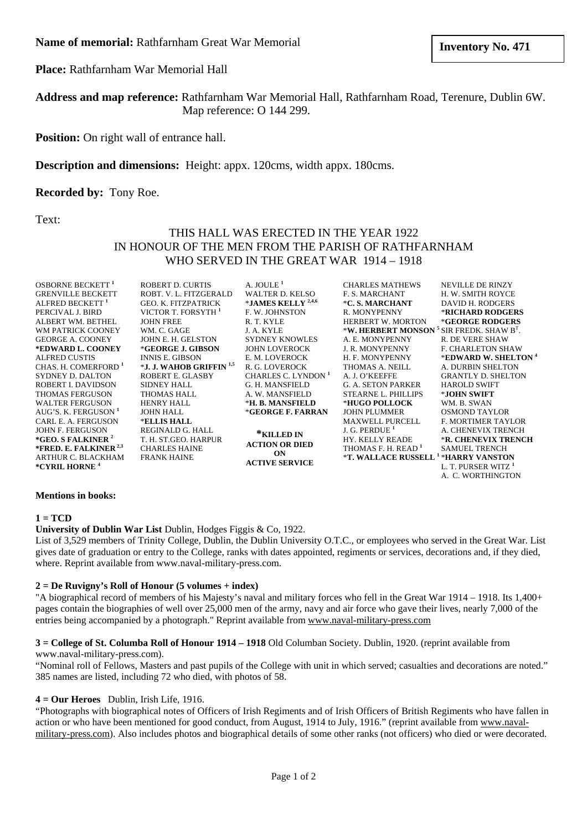**Place:** Rathfarnham War Memorial Hall

**Address and map reference:** Rathfarnham War Memorial Hall, Rathfarnham Road, Terenure, Dublin 6W. Map reference: O 144 299.

**Position:** On right wall of entrance hall.

## **Description and dimensions:** Height: appx. 120cms, width appx. 180cms.

### **Recorded by:** Tony Roe.

Text:

# THIS HALL WAS ERECTED IN THE YEAR 1922 IN HONOUR OF THE MEN FROM THE PARISH OF RATHFARNHAM WHO SERVED IN THE GREAT WAR 1914 – 1918

| <b>OSBORNE BECKETT</b> <sup>1</sup>                    | ROBERT D. CURTIS                    | A. JOULE <sup>1</sup>                                              | <b>CHARLES MATHEWS</b>                                  | <b>NEVILLE DE RINZY</b>         |
|--------------------------------------------------------|-------------------------------------|--------------------------------------------------------------------|---------------------------------------------------------|---------------------------------|
| <b>GRENVILLE BECKETT</b>                               | ROBT. V. L. FITZGERALD              | <b>WALTER D. KELSO</b>                                             | <b>F. S. MARCHANT</b>                                   | H. W. SMITH ROYCE               |
| ALFRED BECKETT <sup>1</sup>                            | <b>GEO. K. FITZPATRICK</b>          | *JAMES KELLY $^{2,4,6}$                                            | *C. S. MARCHANT                                         | DAVID H. RODGERS                |
| PERCIVAL J. BIRD                                       | VICTOR T. FORSYTH <sup>1</sup>      | <b>F. W. JOHNSTON</b>                                              | R. MONYPENNY                                            | *RICHARD RODGERS                |
| ALBERT WM. BETHEL                                      | <b>JOHN FREE</b>                    | R. T. KYLE                                                         | <b>HERBERT W. MORTON</b>                                | *GEORGE RODGERS                 |
| WM PATRICK COONEY                                      | WM. C. GAGE                         | J. A. KYLE                                                         | *W. HERBERT MONSON $5$ SIR FREDK. SHAW B <sup>T</sup> . |                                 |
| <b>GEORGE A. COONEY</b>                                | JOHN E. H. GELSTON                  | <b>SYDNEY KNOWLES</b>                                              | A. E. MONYPENNY                                         | <b>R. DE VERE SHAW</b>          |
| *EDWARD L. COONEY                                      | *GEORGE J. GIBSON                   | <b>JOHN LOVEROCK</b>                                               | <b>J. R. MONYPENNY</b>                                  | <b>F. CHARLETON SHAW</b>        |
| <b>ALFRED CUSTIS</b>                                   | <b>INNIS E. GIBSON</b>              | E. M. LOVEROCK                                                     | H. F. MONYPENNY                                         | *EDWARD W. SHELTON <sup>4</sup> |
| CHAS. H. COMERFORD <sup>1</sup>                        | *J. J. WAHOB GRIFFIN <sup>1,5</sup> | R. G. LOVEROCK                                                     | THOMAS A. NEILL                                         | A. DURBIN SHELTON               |
| SYDNEY D. DALTON                                       | ROBERT E. GLASBY                    | CHARLES C. LYNDON <sup>1</sup>                                     | A. J. O'KEEFFE                                          | <b>GRANTLY D. SHELTON</b>       |
| ROBERT I. DAVIDSON                                     | <b>SIDNEY HALL</b>                  | G. H. MANSFIELD                                                    | <b>G. A. SETON PARKER</b>                               | <b>HAROLD SWIFT</b>             |
| <b>THOMAS FERGUSON</b>                                 | <b>THOMAS HALL</b>                  | A. W. MANSFIELD                                                    | <b>STEARNE L. PHILLIPS</b>                              | *JOHN SWIFT                     |
| <b>WALTER FERGUSON</b>                                 | HENRY HALL                          | *H. B. MANSFIELD                                                   | *HUGO POLLOCK                                           | WM. B. SWAN                     |
| AUG'S. K. FERGUSON <sup>1</sup>                        | <b>JOHN HALL</b>                    | *GEORGE F. FARRAN                                                  | <b>JOHN PLUMMER</b>                                     | <b>OSMOND TAYLOR</b>            |
| CARL E. A. FERGUSON                                    | *ELLIS HALL                         |                                                                    | <b>MAXWELL PURCELL</b>                                  | <b>F. MORTIMER TAYLOR</b>       |
| <b>JOHN F. FERGUSON</b>                                | REGINALD G. HALL                    | *KILLED IN<br><b>ACTION OR DIED</b><br>ON<br><b>ACTIVE SERVICE</b> | J. G. PERDUE <sup>1</sup>                               | A. CHENEVIX TRENCH              |
| *GEO. S FALKINER <sup>2</sup>                          | T. H. ST.GEO. HARPUR                |                                                                    | <b>HY. KELLY READE</b>                                  | <b>*R. CHENEVIX TRENCH</b>      |
| *FRED. E. FALKINER $^{2,3}$                            | <b>CHARLES HAINE</b>                |                                                                    | THOMAS F. H. READ <sup>1</sup>                          | <b>SAMUEL TRENCH</b>            |
| <b>ARTHUR C. BLACKHAM</b><br>*CYRIL HORNE <sup>4</sup> | <b>FRANK HAINE</b>                  |                                                                    | *T. WALLACE RUSSELL <sup>1</sup> *HARRY VANSTON         |                                 |
|                                                        |                                     |                                                                    |                                                         | L. T. PURSER WITZ 1             |
|                                                        |                                     |                                                                    |                                                         | A. C. WORTHINGTON               |

#### **Mentions in books:**

### **1 = TCD**

### **University of Dublin War List** Dublin, Hodges Figgis & Co, 1922.

List of 3,529 members of Trinity College, Dublin, the Dublin University O.T.C., or employees who served in the Great War. List gives date of graduation or entry to the College, ranks with dates appointed, regiments or services, decorations and, if they died, where. Reprint available from www.naval-military-press.com.

### **2 = De Ruvigny's Roll of Honour (5 volumes + index)**

"A biographical record of members of his Majesty's naval and military forces who fell in the Great War 1914 – 1918. Its 1,400+ pages contain the biographies of well over 25,000 men of the army, navy and air force who gave their lives, nearly 7,000 of the entries being accompanied by a photograph." Reprint available from www.naval-military-press.com

# **3 = College of St. Columba Roll of Honour 1914 – 1918** Old Columban Society. Dublin, 1920. (reprint available from

### www.naval-military-press.com).

"Nominal roll of Fellows, Masters and past pupils of the College with unit in which served; casualties and decorations are noted." 385 names are listed, including 72 who died, with photos of 58.

### **4 = Our Heroes** Dublin, Irish Life, 1916.

"Photographs with biographical notes of Officers of Irish Regiments and of Irish Officers of British Regiments who have fallen in action or who have been mentioned for good conduct, from August, 1914 to July, 1916." (reprint available from www.navalmilitary-press.com). Also includes photos and biographical details of some other ranks (not officers) who died or were decorated.